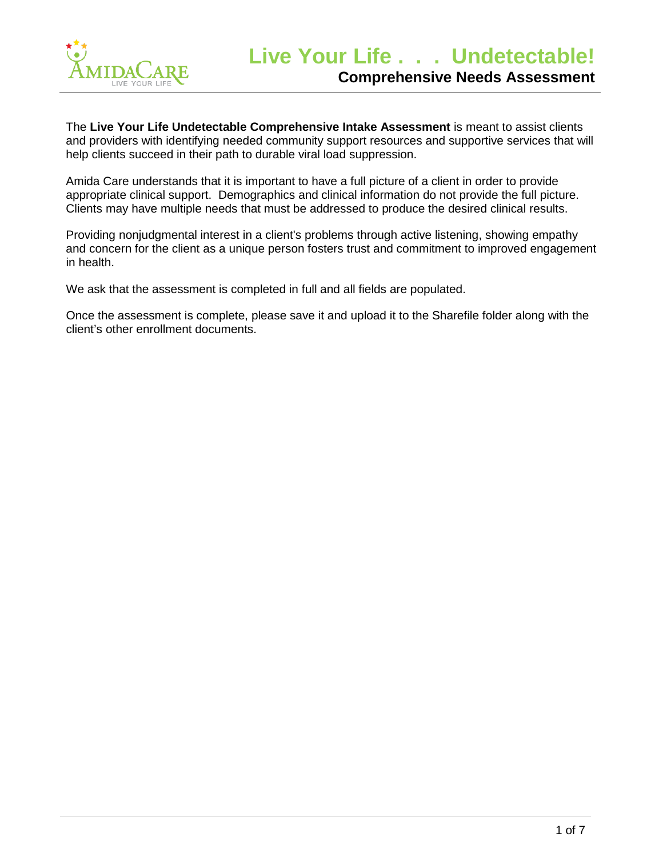

The **Live Your Life Undetectable Comprehensive Intake Assessment** is meant to assist clients and providers with identifying needed community support resources and supportive services that will help clients succeed in their path to durable viral load suppression.

Amida Care understands that it is important to have a full picture of a client in order to provide appropriate clinical support. Demographics and clinical information do not provide the full picture. Clients may have multiple needs that must be addressed to produce the desired clinical results.

Providing nonjudgmental interest in a client's problems through active listening, showing empathy and concern for the client as a unique person fosters trust and commitment to improved engagement in health.

We ask that the assessment is completed in full and all fields are populated.

Once the assessment is complete, please save it and upload it to the Sharefile folder along with the client's other enrollment documents.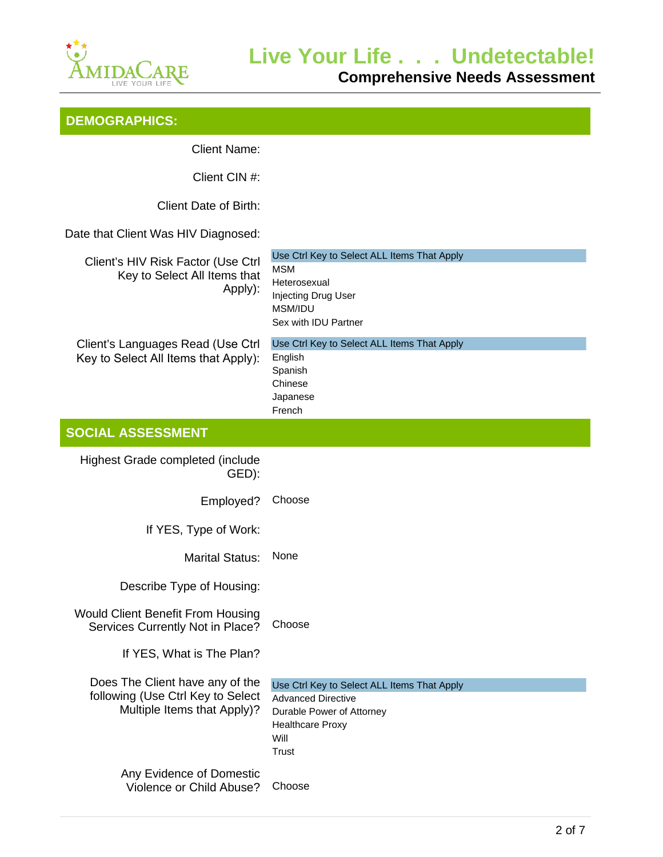

**Comprehensive Needs Assessment**

|  | <b>DEMOGRAPHICS:</b> |  |
|--|----------------------|--|
|  |                      |  |

Client Name:

Client CIN #:

Client Date of Birth:

Date that Client Was HIV Diagnosed:

| Client's HIV Risk Factor (Use Ctrl |
|------------------------------------|
| Key to Select All Items that       |
| Apply):                            |

| Client's HIV Risk Factor (Use Ctrl                                   | Use Ctrl Key to Select ALL Items That Apply                              |
|----------------------------------------------------------------------|--------------------------------------------------------------------------|
| Key to Select All Items that                                         | MSM<br>Heterosexual                                                      |
| Apply):                                                              | Injecting Drug User                                                      |
|                                                                      | MSM/IDU                                                                  |
|                                                                      | Sex with IDU Partner                                                     |
| Client's Languages Read (Use Ctrl                                    | Use Ctrl Key to Select ALL Items That Apply                              |
| Key to Select All Items that Apply):                                 | English<br>Spanish                                                       |
|                                                                      | Chinese                                                                  |
|                                                                      | Japanese                                                                 |
|                                                                      | French                                                                   |
| <b>SOCIAL ASSESSMENT</b>                                             |                                                                          |
| Highest Grade completed (include                                     |                                                                          |
| GED):                                                                |                                                                          |
| Employed?                                                            | Choose                                                                   |
|                                                                      |                                                                          |
| If YES, Type of Work:                                                |                                                                          |
| <b>Marital Status:</b>                                               | None                                                                     |
| Describe Type of Housing:                                            |                                                                          |
| <b>Would Client Benefit From Housing</b>                             |                                                                          |
| Services Currently Not in Place?                                     | Choose                                                                   |
| If YES, What is The Plan?                                            |                                                                          |
|                                                                      |                                                                          |
| Does The Client have any of the<br>following (Use Ctrl Key to Select | Use Ctrl Key to Select ALL Items That Apply<br><b>Advanced Directive</b> |
| Multiple Items that Apply)?                                          | Durable Power of Attorney                                                |
|                                                                      | <b>Healthcare Proxy</b>                                                  |
|                                                                      | Will                                                                     |
|                                                                      | <b>Trust</b>                                                             |
| Any Evidence of Domestic                                             |                                                                          |
| Violence or Child Abuse?                                             | Choose                                                                   |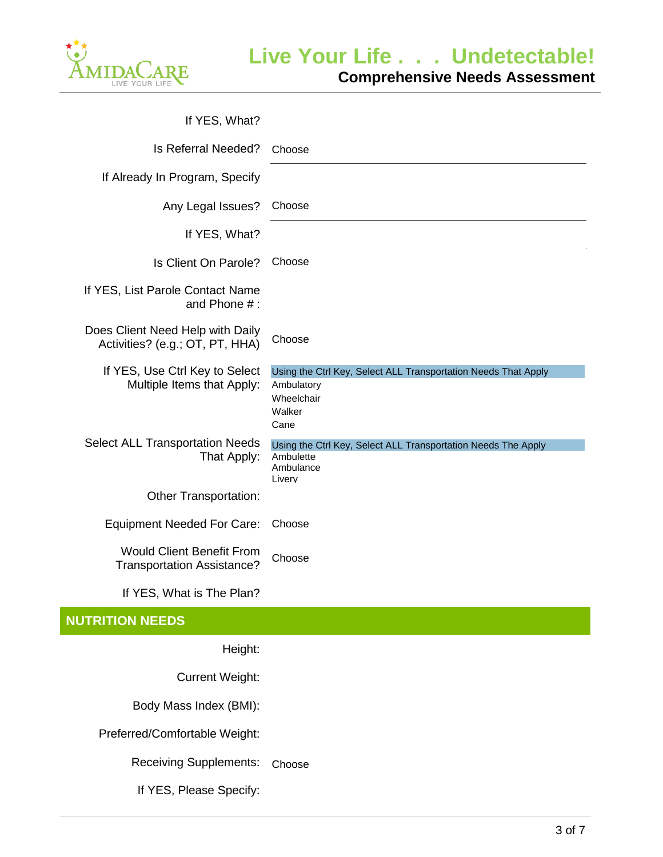

| If YES, What?                                                         |                                                                                                              |
|-----------------------------------------------------------------------|--------------------------------------------------------------------------------------------------------------|
| Is Referral Needed?                                                   | Choose                                                                                                       |
| If Already In Program, Specify                                        |                                                                                                              |
| Any Legal Issues?                                                     | Choose                                                                                                       |
| If YES, What?                                                         |                                                                                                              |
| Is Client On Parole?                                                  | Choose                                                                                                       |
| If YES, List Parole Contact Name<br>and Phone $#$ :                   |                                                                                                              |
| Does Client Need Help with Daily<br>Activities? (e.g.; OT, PT, HHA)   | Choose                                                                                                       |
| If YES, Use Ctrl Key to Select<br>Multiple Items that Apply:          | Using the Ctrl Key, Select ALL Transportation Needs That Apply<br>Ambulatory<br>Wheelchair<br>Walker<br>Cane |
| <b>Select ALL Transportation Needs</b><br>That Apply:                 | Using the Ctrl Key, Select ALL Transportation Needs The Apply<br>Ambulette<br>Ambulance<br>Liverv            |
| Other Transportation:                                                 |                                                                                                              |
| <b>Equipment Needed For Care:</b>                                     | Choose                                                                                                       |
| <b>Would Client Benefit From</b><br><b>Transportation Assistance?</b> | Choose                                                                                                       |
| If YES, What is The Plan?                                             |                                                                                                              |
| <b>NUTRITION NEEDS</b>                                                |                                                                                                              |
| Height:                                                               |                                                                                                              |
| <b>Current Weight:</b>                                                |                                                                                                              |
| Body Mass Index (BMI):                                                |                                                                                                              |
| Preferred/Comfortable Weight:                                         |                                                                                                              |

Receiving Supplements: Choose

If YES, Please Specify: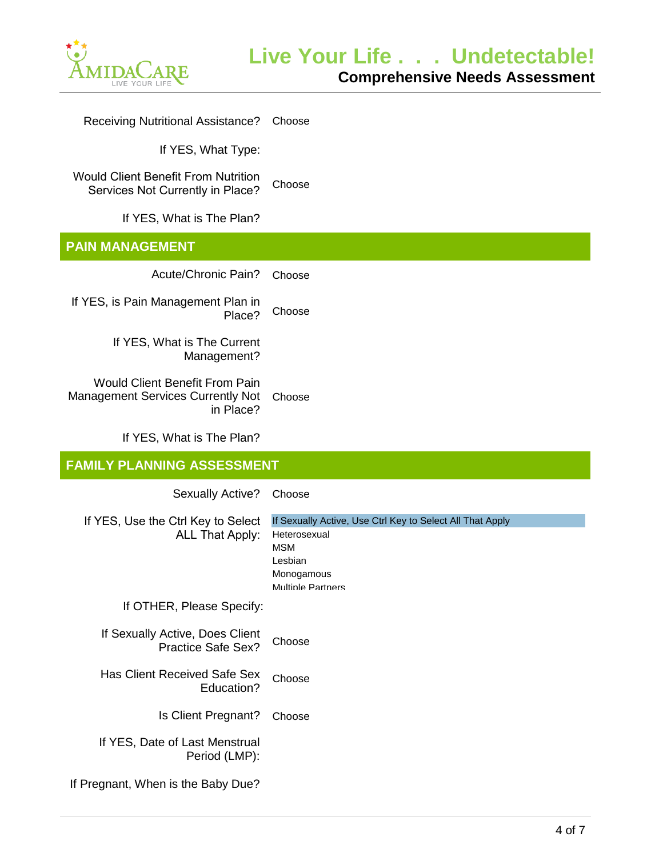

| <b>Receiving Nutritional Assistance?</b>                                                       | Choose                                                                                                                                       |
|------------------------------------------------------------------------------------------------|----------------------------------------------------------------------------------------------------------------------------------------------|
| If YES, What Type:                                                                             |                                                                                                                                              |
| <b>Would Client Benefit From Nutrition</b><br>Services Not Currently in Place?                 | Choose                                                                                                                                       |
| If YES, What is The Plan?                                                                      |                                                                                                                                              |
| <b>PAIN MANAGEMENT</b>                                                                         |                                                                                                                                              |
| Acute/Chronic Pain?                                                                            | Choose                                                                                                                                       |
| If YES, is Pain Management Plan in<br>Place?                                                   | Choose                                                                                                                                       |
| If YES, What is The Current<br>Management?                                                     |                                                                                                                                              |
| <b>Would Client Benefit From Pain</b><br><b>Management Services Currently Not</b><br>in Place? | Choose                                                                                                                                       |
| If YES, What is The Plan?                                                                      |                                                                                                                                              |
|                                                                                                |                                                                                                                                              |
| <b>FAMILY PLANNING ASSESSMENT</b>                                                              |                                                                                                                                              |
| <b>Sexually Active?</b>                                                                        | Choose                                                                                                                                       |
| If YES, Use the Ctrl Key to Select<br><b>ALL That Apply:</b>                                   | If Sexually Active, Use Ctrl Key to Select All That Apply<br>Heterosexual<br><b>MSM</b><br>Lesbian<br>Monogamous<br><b>Multiple Partners</b> |
| If OTHER, Please Specify:                                                                      |                                                                                                                                              |
| If Sexually Active, Does Client<br><b>Practice Safe Sex?</b>                                   | Choose                                                                                                                                       |
| <b>Has Client Received Safe Sex</b><br>Education?                                              | Choose                                                                                                                                       |
| Is Client Pregnant?                                                                            | Choose                                                                                                                                       |
| If YES, Date of Last Menstrual<br>Period (LMP):                                                |                                                                                                                                              |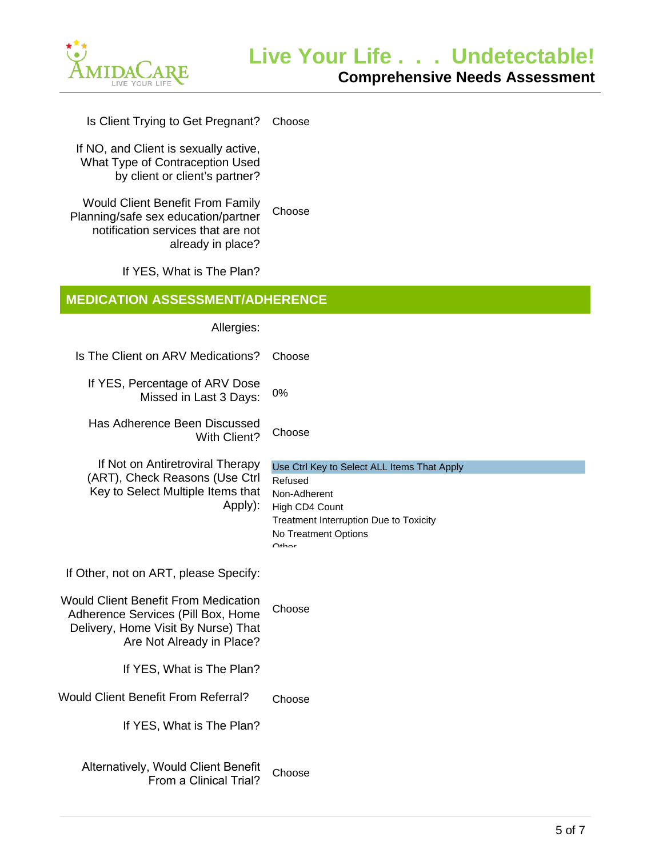

Is Client Trying to Get Pregnant? Choose

If NO, and Client is sexually active, What Type of Contraception Used by client or client's partner?

Would Client Benefit From Family Planning/safe sex education/partner notification services that are not already in place? Choose

If YES, What is The Plan?

## **MEDICATION ASSESSMENT/ADHERENCE**

Allergies:

| Is The Client on ARV Medications?                                                                                                                                 | Choose                                                                                                                                                                          |
|-------------------------------------------------------------------------------------------------------------------------------------------------------------------|---------------------------------------------------------------------------------------------------------------------------------------------------------------------------------|
| If YES, Percentage of ARV Dose<br>Missed in Last 3 Days:                                                                                                          | 0%                                                                                                                                                                              |
| Has Adherence Been Discussed<br>With Client?                                                                                                                      | Choose                                                                                                                                                                          |
| If Not on Antiretroviral Therapy<br>(ART), Check Reasons (Use Ctrl<br>Key to Select Multiple Items that<br>Apply):                                                | Use Ctrl Key to Select ALL Items That Apply<br>Refused<br>Non-Adherent<br>High CD4 Count<br>Treatment Interruption Due to Toxicity<br>No Treatment Options<br>O <sub>thor</sub> |
| If Other, not on ART, please Specify:<br><b>Would Client Benefit From Medication</b><br>Adherence Services (Pill Box, Home<br>Delivery, Home Visit By Nurse) That | Choose                                                                                                                                                                          |
| Are Not Already in Place?                                                                                                                                         |                                                                                                                                                                                 |
| If YES, What is The Plan?<br><b>Would Client Benefit From Referral?</b><br>If YES, What is The Plan?                                                              | Choose                                                                                                                                                                          |
| Alternatively, Would Client Benefit<br>From a Clinical Trial?                                                                                                     | Choose                                                                                                                                                                          |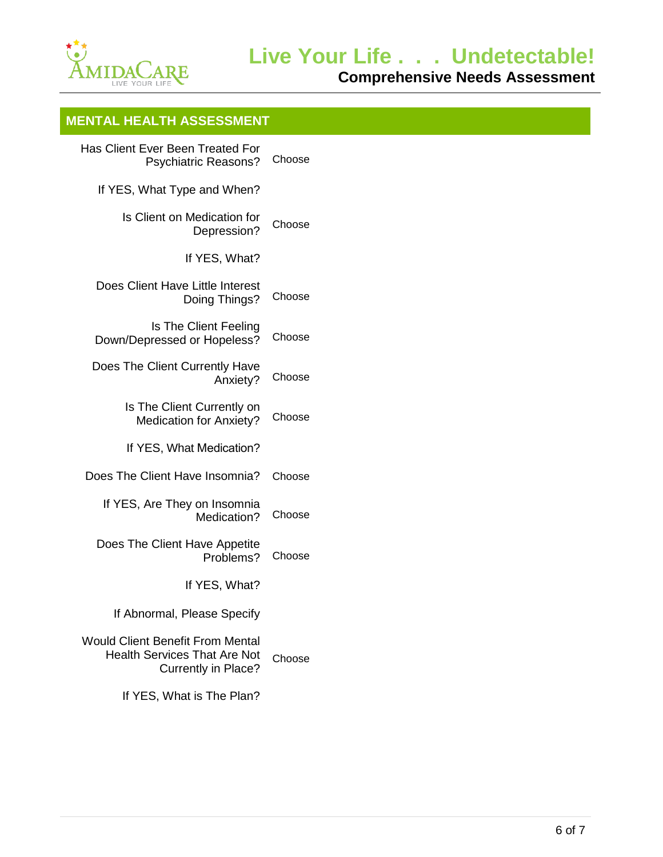

**Comprehensive Needs Assessment**

## **MENTAL HEALTH ASSESSMENT**

| <b>Has Client Ever Been Treated For</b><br><b>Psychiatric Reasons?</b>                                | Choose |
|-------------------------------------------------------------------------------------------------------|--------|
| If YES, What Type and When?                                                                           |        |
| Is Client on Medication for<br>Depression?                                                            | Choose |
| If YES, What?                                                                                         |        |
| Does Client Have Little Interest<br>Doing Things?                                                     | Choose |
| Is The Client Feeling<br>Down/Depressed or Hopeless?                                                  | Choose |
| Does The Client Currently Have<br>Anxiety?                                                            | Choose |
| Is The Client Currently on<br><b>Medication for Anxiety?</b>                                          | Choose |
| If YES, What Medication?                                                                              |        |
| Does The Client Have Insomnia?                                                                        | Choose |
| If YES, Are They on Insomnia<br>Medication?                                                           | Choose |
| Does The Client Have Appetite<br>Problems?                                                            | Choose |
| If YES, What?                                                                                         |        |
| If Abnormal, Please Specify                                                                           |        |
| <b>Would Client Benefit From Mental</b><br><b>Health Services That Are Not</b><br>Currently in Place? | Choose |
|                                                                                                       |        |

If YES, What is The Plan?